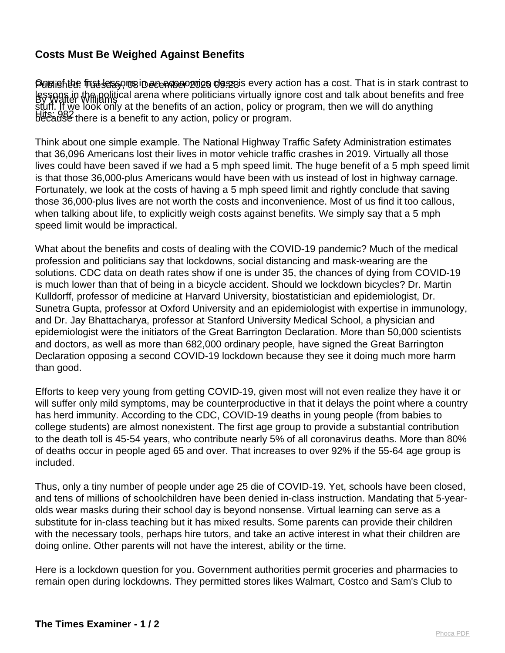## **Costs Must Be Weighed Against Benefits**

Puelishthe frut lessons in acenos orgins of the section has a cost. That is in stark contrast to lessons in the political arena where politicians virtually ignore cost and talk about benefits and free<br>By Walter Williams Hits: 982 because there is a benefit to any action, policy or program. stuff. If we look only at the benefits of an action, policy or program, then we will do anything

Think about one simple example. The National Highway Traffic Safety Administration estimates that 36,096 Americans lost their lives in motor vehicle traffic crashes in 2019. Virtually all those lives could have been saved if we had a 5 mph speed limit. The huge benefit of a 5 mph speed limit is that those 36,000-plus Americans would have been with us instead of lost in highway carnage. Fortunately, we look at the costs of having a 5 mph speed limit and rightly conclude that saving those 36,000-plus lives are not worth the costs and inconvenience. Most of us find it too callous, when talking about life, to explicitly weigh costs against benefits. We simply say that a 5 mph speed limit would be impractical.

What about the benefits and costs of dealing with the COVID-19 pandemic? Much of the medical profession and politicians say that lockdowns, social distancing and mask-wearing are the solutions. CDC data on death rates show if one is under 35, the chances of dying from COVID-19 is much lower than that of being in a bicycle accident. Should we lockdown bicycles? Dr. Martin Kulldorff, professor of medicine at Harvard University, biostatistician and epidemiologist, Dr. Sunetra Gupta, professor at Oxford University and an epidemiologist with expertise in immunology, and Dr. Jay Bhattacharya, professor at Stanford University Medical School, a physician and epidemiologist were the initiators of the Great Barrington Declaration. More than 50,000 scientists and doctors, as well as more than 682,000 ordinary people, have signed the Great Barrington Declaration opposing a second COVID-19 lockdown because they see it doing much more harm than good.

Efforts to keep very young from getting COVID-19, given most will not even realize they have it or will suffer only mild symptoms, may be counterproductive in that it delays the point where a country has herd immunity. According to the CDC, COVID-19 deaths in young people (from babies to college students) are almost nonexistent. The first age group to provide a substantial contribution to the death toll is 45-54 years, who contribute nearly 5% of all coronavirus deaths. More than 80% of deaths occur in people aged 65 and over. That increases to over 92% if the 55-64 age group is included.

Thus, only a tiny number of people under age 25 die of COVID-19. Yet, schools have been closed, and tens of millions of schoolchildren have been denied in-class instruction. Mandating that 5-yearolds wear masks during their school day is beyond nonsense. Virtual learning can serve as a substitute for in-class teaching but it has mixed results. Some parents can provide their children with the necessary tools, perhaps hire tutors, and take an active interest in what their children are doing online. Other parents will not have the interest, ability or the time.

Here is a lockdown question for you. Government authorities permit groceries and pharmacies to remain open during lockdowns. They permitted stores likes Walmart, Costco and Sam's Club to